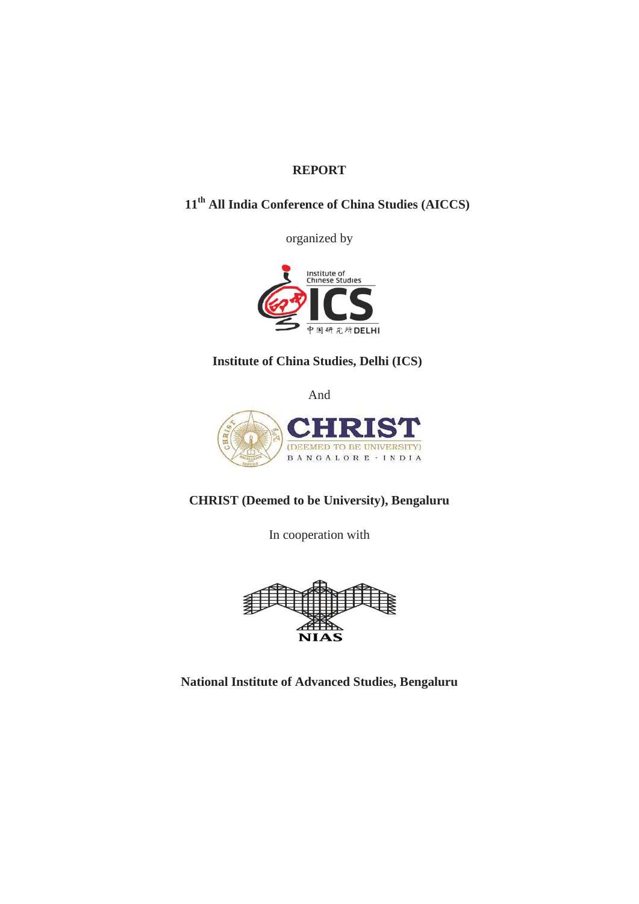### **REPORT**

# **11th All India Conference of China Studies (AICCS)**

organized by



# **Institute of China Studies, Delhi (ICS)**

And



**CHRIST (Deemed to be University), Bengaluru**

In cooperation with



**National Institute of Advanced Studies, Bengaluru**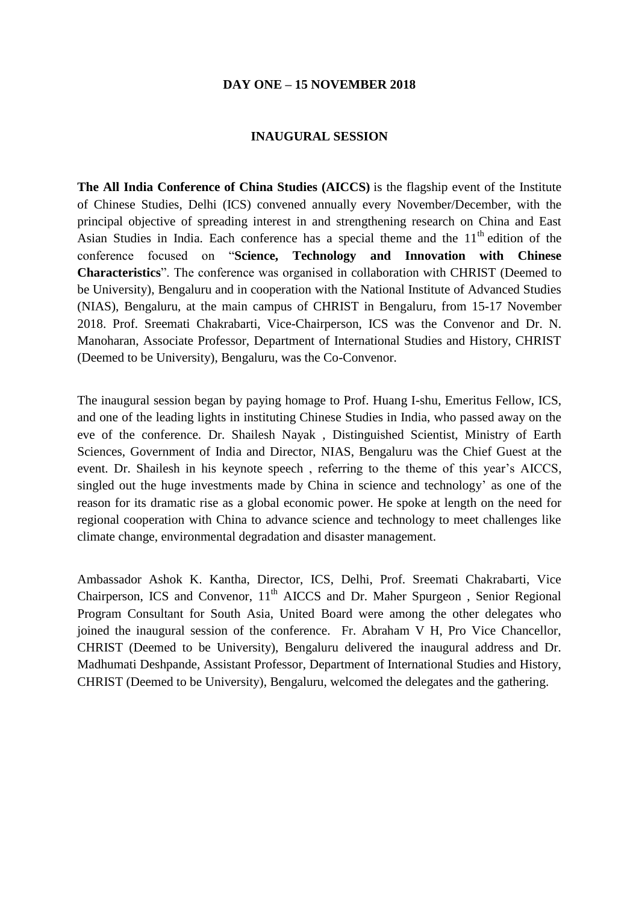#### **DAY ONE – 15 NOVEMBER 2018**

#### **INAUGURAL SESSION**

**The All India Conference of China Studies (AICCS)** is the flagship event of the Institute of Chinese Studies, Delhi (ICS) convened annually every November/December, with the principal objective of spreading interest in and strengthening research on China and East Asian Studies in India. Each conference has a special theme and the  $11<sup>th</sup>$  edition of the conference focused on "**Science, Technology and Innovation with Chinese Characteristics**". The conference was organised in collaboration with CHRIST (Deemed to be University), Bengaluru and in cooperation with the National Institute of Advanced Studies (NIAS), Bengaluru, at the main campus of CHRIST in Bengaluru, from 15-17 November 2018. Prof. Sreemati Chakrabarti, Vice-Chairperson, ICS was the Convenor and Dr. N. Manoharan, Associate Professor, Department of International Studies and History, CHRIST (Deemed to be University), Bengaluru, was the Co-Convenor.

The inaugural session began by paying homage to Prof. Huang I-shu, Emeritus Fellow, ICS, and one of the leading lights in instituting Chinese Studies in India, who passed away on the eve of the conference. Dr. Shailesh Nayak , Distinguished Scientist, Ministry of Earth Sciences, Government of India and Director, NIAS, Bengaluru was the Chief Guest at the event. Dr. Shailesh in his keynote speech , referring to the theme of this year's AICCS, singled out the huge investments made by China in science and technology' as one of the reason for its dramatic rise as a global economic power. He spoke at length on the need for regional cooperation with China to advance science and technology to meet challenges like climate change, environmental degradation and disaster management.

Ambassador Ashok K. Kantha, Director, ICS, Delhi, Prof. Sreemati Chakrabarti, Vice Chairperson, ICS and Convenor,  $11<sup>th</sup>$  AICCS and Dr. Maher Spurgeon, Senior Regional Program Consultant for South Asia, United Board were among the other delegates who joined the inaugural session of the conference. Fr. Abraham V H, Pro Vice Chancellor, CHRIST (Deemed to be University), Bengaluru delivered the inaugural address and Dr. Madhumati Deshpande, Assistant Professor, Department of International Studies and History, CHRIST (Deemed to be University), Bengaluru, welcomed the delegates and the gathering.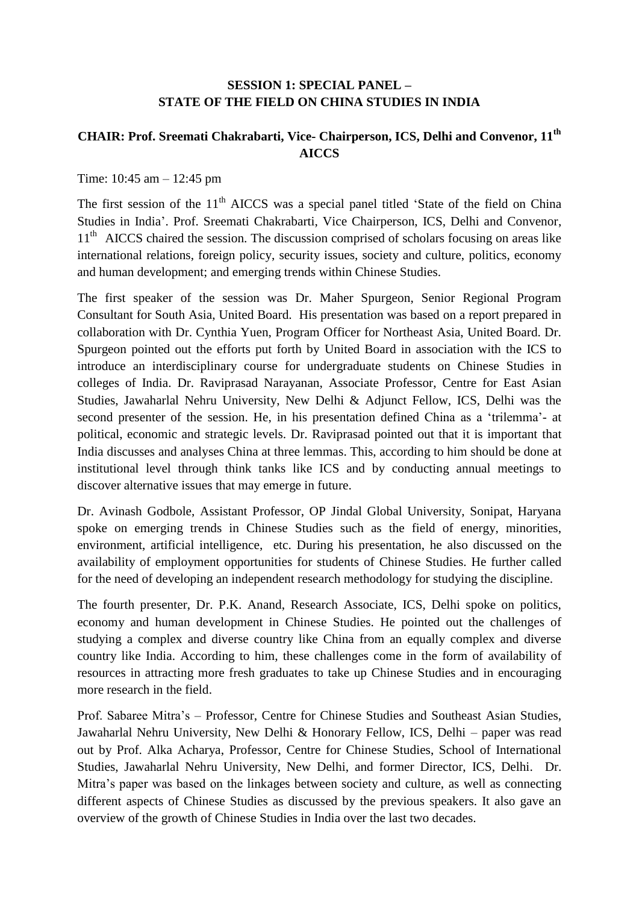### **SESSION 1: SPECIAL PANEL – STATE OF THE FIELD ON CHINA STUDIES IN INDIA**

# **CHAIR: Prof. Sreemati Chakrabarti, Vice- Chairperson, ICS, Delhi and Convenor, 11th AICCS**

Time: 10:45 am – 12:45 pm

The first session of the  $11<sup>th</sup>$  AICCS was a special panel titled 'State of the field on China Studies in India'. Prof. Sreemati Chakrabarti, Vice Chairperson, ICS, Delhi and Convenor, 11<sup>th</sup> AICCS chaired the session. The discussion comprised of scholars focusing on areas like international relations, foreign policy, security issues, society and culture, politics, economy and human development; and emerging trends within Chinese Studies.

The first speaker of the session was Dr. Maher Spurgeon, Senior Regional Program Consultant for South Asia, United Board. His presentation was based on a report prepared in collaboration with Dr. Cynthia Yuen, Program Officer for Northeast Asia, United Board. Dr. Spurgeon pointed out the efforts put forth by United Board in association with the ICS to introduce an interdisciplinary course for undergraduate students on Chinese Studies in colleges of India. Dr. Raviprasad Narayanan, Associate Professor, Centre for East Asian Studies, Jawaharlal Nehru University, New Delhi & Adjunct Fellow, ICS, Delhi was the second presenter of the session. He, in his presentation defined China as a 'trilemma'- at political, economic and strategic levels. Dr. Raviprasad pointed out that it is important that India discusses and analyses China at three lemmas. This, according to him should be done at institutional level through think tanks like ICS and by conducting annual meetings to discover alternative issues that may emerge in future.

Dr. Avinash Godbole, Assistant Professor, OP Jindal Global University, Sonipat, Haryana spoke on emerging trends in Chinese Studies such as the field of energy, minorities, environment, artificial intelligence, etc. During his presentation, he also discussed on the availability of employment opportunities for students of Chinese Studies. He further called for the need of developing an independent research methodology for studying the discipline.

The fourth presenter, Dr. P.K. Anand, Research Associate, ICS, Delhi spoke on politics, economy and human development in Chinese Studies. He pointed out the challenges of studying a complex and diverse country like China from an equally complex and diverse country like India. According to him, these challenges come in the form of availability of resources in attracting more fresh graduates to take up Chinese Studies and in encouraging more research in the field.

Prof. Sabaree Mitra's – Professor, Centre for Chinese Studies and Southeast Asian Studies, Jawaharlal Nehru University, New Delhi & Honorary Fellow, ICS, Delhi – paper was read out by Prof. Alka Acharya, Professor, Centre for Chinese Studies, School of International Studies, Jawaharlal Nehru University, New Delhi, and former Director, ICS, Delhi. Dr. Mitra's paper was based on the linkages between society and culture, as well as connecting different aspects of Chinese Studies as discussed by the previous speakers. It also gave an overview of the growth of Chinese Studies in India over the last two decades.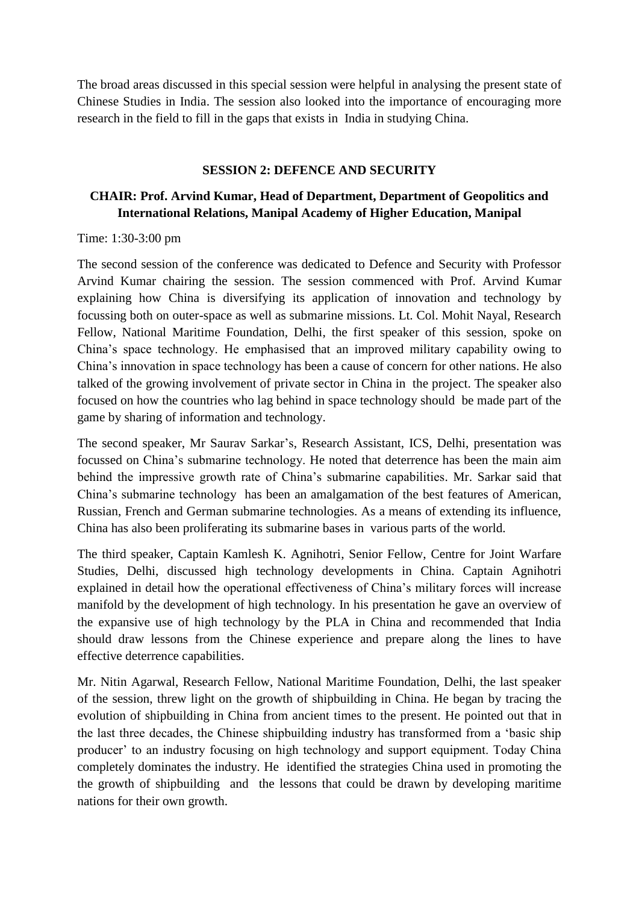The broad areas discussed in this special session were helpful in analysing the present state of Chinese Studies in India. The session also looked into the importance of encouraging more research in the field to fill in the gaps that exists in India in studying China.

#### **SESSION 2: DEFENCE AND SECURITY**

# **CHAIR: Prof. Arvind Kumar, Head of Department, Department of Geopolitics and International Relations, Manipal Academy of Higher Education, Manipal**

### Time: 1:30-3:00 pm

The second session of the conference was dedicated to Defence and Security with Professor Arvind Kumar chairing the session. The session commenced with Prof. Arvind Kumar explaining how China is diversifying its application of innovation and technology by focussing both on outer-space as well as submarine missions. Lt. Col. Mohit Nayal, Research Fellow, National Maritime Foundation, Delhi, the first speaker of this session, spoke on China's space technology. He emphasised that an improved military capability owing to China's innovation in space technology has been a cause of concern for other nations. He also talked of the growing involvement of private sector in China in the project. The speaker also focused on how the countries who lag behind in space technology should be made part of the game by sharing of information and technology.

The second speaker, Mr Saurav Sarkar's, Research Assistant, ICS, Delhi, presentation was focussed on China's submarine technology. He noted that deterrence has been the main aim behind the impressive growth rate of China's submarine capabilities. Mr. Sarkar said that China's submarine technology has been an amalgamation of the best features of American, Russian, French and German submarine technologies. As a means of extending its influence, China has also been proliferating its submarine bases in various parts of the world.

The third speaker, Captain Kamlesh K. Agnihotri, Senior Fellow, Centre for Joint Warfare Studies, Delhi, discussed high technology developments in China. Captain Agnihotri explained in detail how the operational effectiveness of China's military forces will increase manifold by the development of high technology. In his presentation he gave an overview of the expansive use of high technology by the PLA in China and recommended that India should draw lessons from the Chinese experience and prepare along the lines to have effective deterrence capabilities.

Mr. Nitin Agarwal, Research Fellow, National Maritime Foundation, Delhi, the last speaker of the session, threw light on the growth of shipbuilding in China. He began by tracing the evolution of shipbuilding in China from ancient times to the present. He pointed out that in the last three decades, the Chinese shipbuilding industry has transformed from a 'basic ship producer' to an industry focusing on high technology and support equipment. Today China completely dominates the industry. He identified the strategies China used in promoting the the growth of shipbuilding and the lessons that could be drawn by developing maritime nations for their own growth.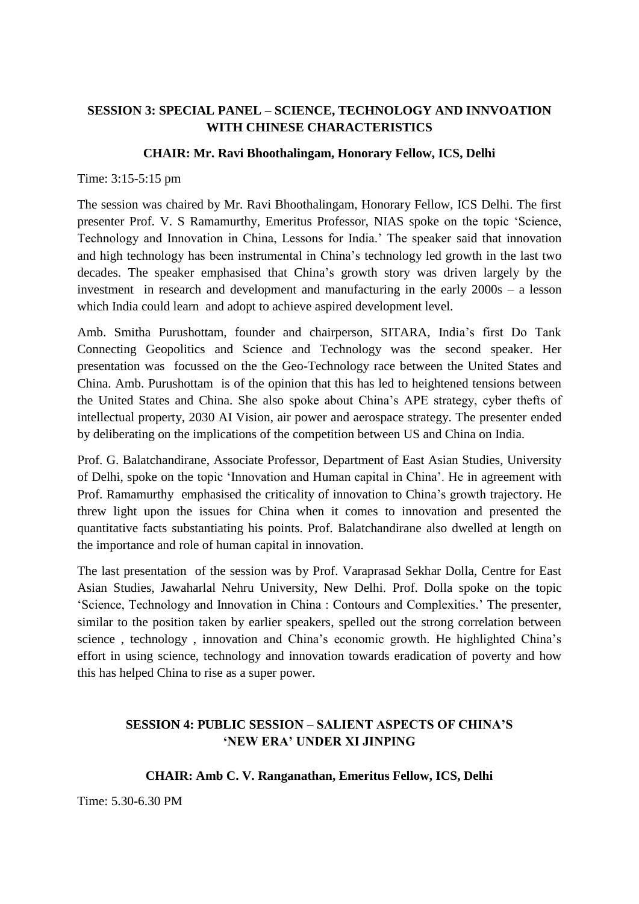# **SESSION 3: SPECIAL PANEL – SCIENCE, TECHNOLOGY AND INNVOATION WITH CHINESE CHARACTERISTICS**

#### **CHAIR: Mr. Ravi Bhoothalingam, Honorary Fellow, ICS, Delhi**

Time: 3:15-5:15 pm

The session was chaired by Mr. Ravi Bhoothalingam, Honorary Fellow, ICS Delhi. The first presenter Prof. V. S Ramamurthy, Emeritus Professor, NIAS spoke on the topic 'Science, Technology and Innovation in China, Lessons for India.' The speaker said that innovation and high technology has been instrumental in China's technology led growth in the last two decades. The speaker emphasised that China's growth story was driven largely by the investment in research and development and manufacturing in the early 2000s – a lesson which India could learn and adopt to achieve aspired development level.

Amb. Smitha Purushottam, founder and chairperson, SITARA, India's first Do Tank Connecting Geopolitics and Science and Technology was the second speaker. Her presentation was focussed on the the Geo-Technology race between the United States and China. Amb. Purushottam is of the opinion that this has led to heightened tensions between the United States and China. She also spoke about China's APE strategy, cyber thefts of intellectual property, 2030 AI Vision, air power and aerospace strategy. The presenter ended by deliberating on the implications of the competition between US and China on India.

Prof. G. Balatchandirane, Associate Professor, Department of East Asian Studies, University of Delhi, spoke on the topic 'Innovation and Human capital in China'. He in agreement with Prof. Ramamurthy emphasised the criticality of innovation to China's growth trajectory. He threw light upon the issues for China when it comes to innovation and presented the quantitative facts substantiating his points. Prof. Balatchandirane also dwelled at length on the importance and role of human capital in innovation.

The last presentation of the session was by Prof. Varaprasad Sekhar Dolla, Centre for East Asian Studies, Jawaharlal Nehru University, New Delhi. Prof. Dolla spoke on the topic 'Science, Technology and Innovation in China : Contours and Complexities.' The presenter, similar to the position taken by earlier speakers, spelled out the strong correlation between science , technology , innovation and China's economic growth. He highlighted China's effort in using science, technology and innovation towards eradication of poverty and how this has helped China to rise as a super power.

# **SESSION 4: PUBLIC SESSION – SALIENT ASPECTS OF CHINA'S 'NEW ERA' UNDER XI JINPING**

### **CHAIR: Amb C. V. Ranganathan, Emeritus Fellow, ICS, Delhi**

Time: 5.30-6.30 PM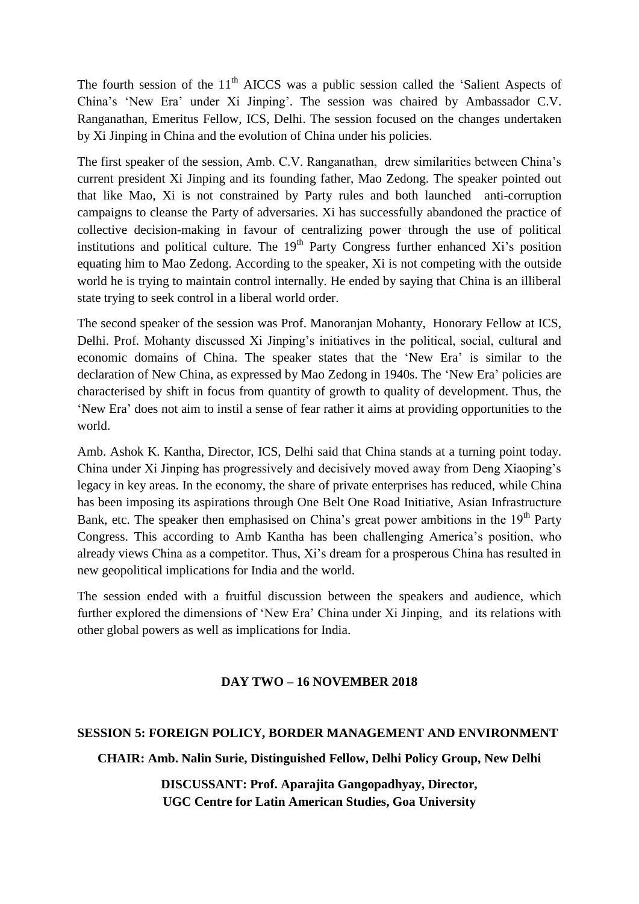The fourth session of the  $11<sup>th</sup>$  AICCS was a public session called the 'Salient Aspects of China's 'New Era' under Xi Jinping'. The session was chaired by Ambassador C.V. Ranganathan, Emeritus Fellow, ICS, Delhi. The session focused on the changes undertaken by Xi Jinping in China and the evolution of China under his policies.

The first speaker of the session, Amb. C.V. Ranganathan, drew similarities between China's current president Xi Jinping and its founding father, Mao Zedong. The speaker pointed out that like Mao, Xi is not constrained by Party rules and both launched anti-corruption campaigns to cleanse the Party of adversaries. Xi has successfully abandoned the practice of collective decision-making in favour of centralizing power through the use of political institutions and political culture. The  $19<sup>th</sup>$  Party Congress further enhanced Xi's position equating him to Mao Zedong. According to the speaker, Xi is not competing with the outside world he is trying to maintain control internally. He ended by saying that China is an illiberal state trying to seek control in a liberal world order.

The second speaker of the session was Prof. Manoranjan Mohanty, Honorary Fellow at ICS, Delhi. Prof. Mohanty discussed Xi Jinping's initiatives in the political, social, cultural and economic domains of China. The speaker states that the 'New Era' is similar to the declaration of New China, as expressed by Mao Zedong in 1940s. The 'New Era' policies are characterised by shift in focus from quantity of growth to quality of development. Thus, the 'New Era' does not aim to instil a sense of fear rather it aims at providing opportunities to the world.

Amb. Ashok K. Kantha, Director, ICS, Delhi said that China stands at a turning point today. China under Xi Jinping has progressively and decisively moved away from Deng Xiaoping's legacy in key areas. In the economy, the share of private enterprises has reduced, while China has been imposing its aspirations through One Belt One Road Initiative, Asian Infrastructure Bank, etc. The speaker then emphasised on China's great power ambitions in the  $19<sup>th</sup>$  Party Congress. This according to Amb Kantha has been challenging America's position, who already views China as a competitor. Thus, Xi's dream for a prosperous China has resulted in new geopolitical implications for India and the world.

The session ended with a fruitful discussion between the speakers and audience, which further explored the dimensions of 'New Era' China under Xi Jinping, and its relations with other global powers as well as implications for India.

### **DAY TWO – 16 NOVEMBER 2018**

#### **SESSION 5: FOREIGN POLICY, BORDER MANAGEMENT AND ENVIRONMENT**

**CHAIR: Amb. Nalin Surie, Distinguished Fellow, Delhi Policy Group, New Delhi**

**DISCUSSANT: Prof. Aparajita Gangopadhyay, Director, UGC Centre for Latin American Studies, Goa University**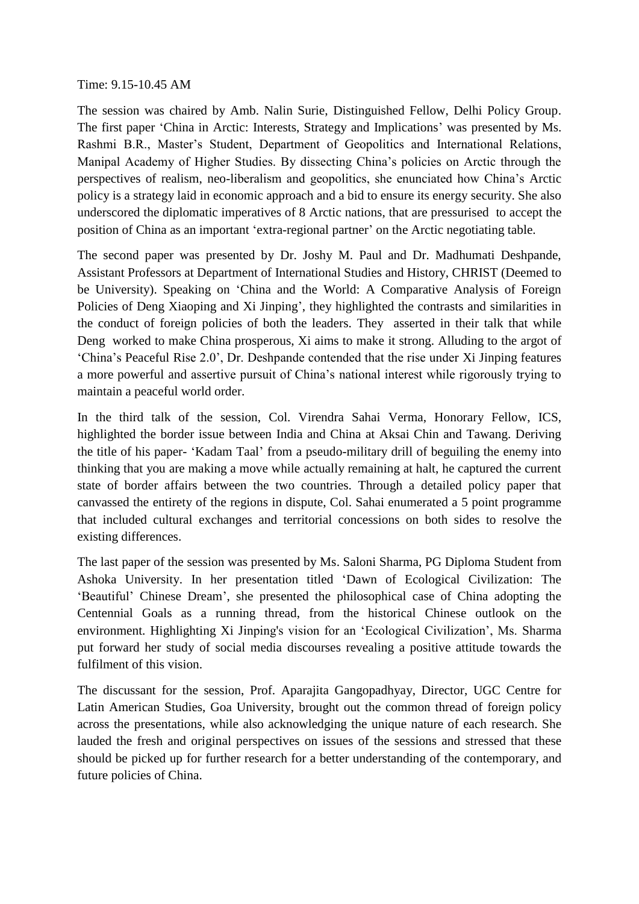Time: 9.15-10.45 AM

The session was chaired by Amb. Nalin Surie, Distinguished Fellow, Delhi Policy Group. The first paper 'China in Arctic: Interests, Strategy and Implications' was presented by Ms. Rashmi B.R., Master's Student, Department of Geopolitics and International Relations, Manipal Academy of Higher Studies. By dissecting China's policies on Arctic through the perspectives of realism, neo-liberalism and geopolitics, she enunciated how China's Arctic policy is a strategy laid in economic approach and a bid to ensure its energy security. She also underscored the diplomatic imperatives of 8 Arctic nations, that are pressurised to accept the position of China as an important 'extra-regional partner' on the Arctic negotiating table.

The second paper was presented by Dr. Joshy M. Paul and Dr. Madhumati Deshpande, Assistant Professors at Department of International Studies and History, CHRIST (Deemed to be University). Speaking on 'China and the World: A Comparative Analysis of Foreign Policies of Deng Xiaoping and Xi Jinping', they highlighted the contrasts and similarities in the conduct of foreign policies of both the leaders. They asserted in their talk that while Deng worked to make China prosperous, Xi aims to make it strong. Alluding to the argot of 'China's Peaceful Rise 2.0', Dr. Deshpande contended that the rise under Xi Jinping features a more powerful and assertive pursuit of China's national interest while rigorously trying to maintain a peaceful world order.

In the third talk of the session, Col. Virendra Sahai Verma, Honorary Fellow, ICS, highlighted the border issue between India and China at Aksai Chin and Tawang. Deriving the title of his paper- 'Kadam Taal' from a pseudo-military drill of beguiling the enemy into thinking that you are making a move while actually remaining at halt, he captured the current state of border affairs between the two countries. Through a detailed policy paper that canvassed the entirety of the regions in dispute, Col. Sahai enumerated a 5 point programme that included cultural exchanges and territorial concessions on both sides to resolve the existing differences.

The last paper of the session was presented by Ms. Saloni Sharma, PG Diploma Student from Ashoka University. In her presentation titled 'Dawn of Ecological Civilization: The 'Beautiful' Chinese Dream', she presented the philosophical case of China adopting the Centennial Goals as a running thread, from the historical Chinese outlook on the environment. Highlighting Xi Jinping's vision for an 'Ecological Civilization', Ms. Sharma put forward her study of social media discourses revealing a positive attitude towards the fulfilment of this vision.

The discussant for the session, Prof. Aparajita Gangopadhyay, Director, UGC Centre for Latin American Studies, Goa University, brought out the common thread of foreign policy across the presentations, while also acknowledging the unique nature of each research. She lauded the fresh and original perspectives on issues of the sessions and stressed that these should be picked up for further research for a better understanding of the contemporary, and future policies of China.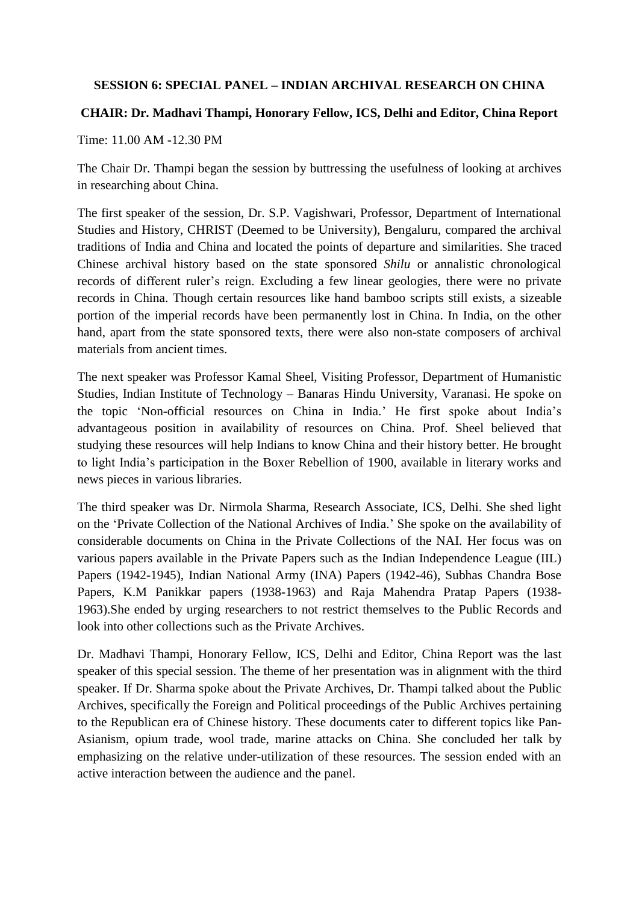### **SESSION 6: SPECIAL PANEL – INDIAN ARCHIVAL RESEARCH ON CHINA**

### **CHAIR: Dr. Madhavi Thampi, Honorary Fellow, ICS, Delhi and Editor, China Report**

Time: 11.00 AM -12.30 PM

The Chair Dr. Thampi began the session by buttressing the usefulness of looking at archives in researching about China.

The first speaker of the session, Dr. S.P. Vagishwari, Professor, Department of International Studies and History, CHRIST (Deemed to be University), Bengaluru, compared the archival traditions of India and China and located the points of departure and similarities. She traced Chinese archival history based on the state sponsored *Shilu* or annalistic chronological records of different ruler's reign. Excluding a few linear geologies, there were no private records in China. Though certain resources like hand bamboo scripts still exists, a sizeable portion of the imperial records have been permanently lost in China. In India, on the other hand, apart from the state sponsored texts, there were also non-state composers of archival materials from ancient times.

The next speaker was Professor Kamal Sheel, Visiting Professor, Department of Humanistic Studies, Indian Institute of Technology – Banaras Hindu University, Varanasi. He spoke on the topic 'Non-official resources on China in India.' He first spoke about India's advantageous position in availability of resources on China. Prof. Sheel believed that studying these resources will help Indians to know China and their history better. He brought to light India's participation in the Boxer Rebellion of 1900, available in literary works and news pieces in various libraries.

The third speaker was Dr. Nirmola Sharma, Research Associate, ICS, Delhi. She shed light on the 'Private Collection of the National Archives of India.' She spoke on the availability of considerable documents on China in the Private Collections of the NAI. Her focus was on various papers available in the Private Papers such as the Indian Independence League (IIL) Papers (1942-1945), Indian National Army (INA) Papers (1942-46), Subhas Chandra Bose Papers, K.M Panikkar papers (1938-1963) and Raja Mahendra Pratap Papers (1938- 1963).She ended by urging researchers to not restrict themselves to the Public Records and look into other collections such as the Private Archives.

Dr. Madhavi Thampi, Honorary Fellow, ICS, Delhi and Editor, China Report was the last speaker of this special session. The theme of her presentation was in alignment with the third speaker. If Dr. Sharma spoke about the Private Archives, Dr. Thampi talked about the Public Archives, specifically the Foreign and Political proceedings of the Public Archives pertaining to the Republican era of Chinese history. These documents cater to different topics like Pan-Asianism, opium trade, wool trade, marine attacks on China. She concluded her talk by emphasizing on the relative under-utilization of these resources. The session ended with an active interaction between the audience and the panel.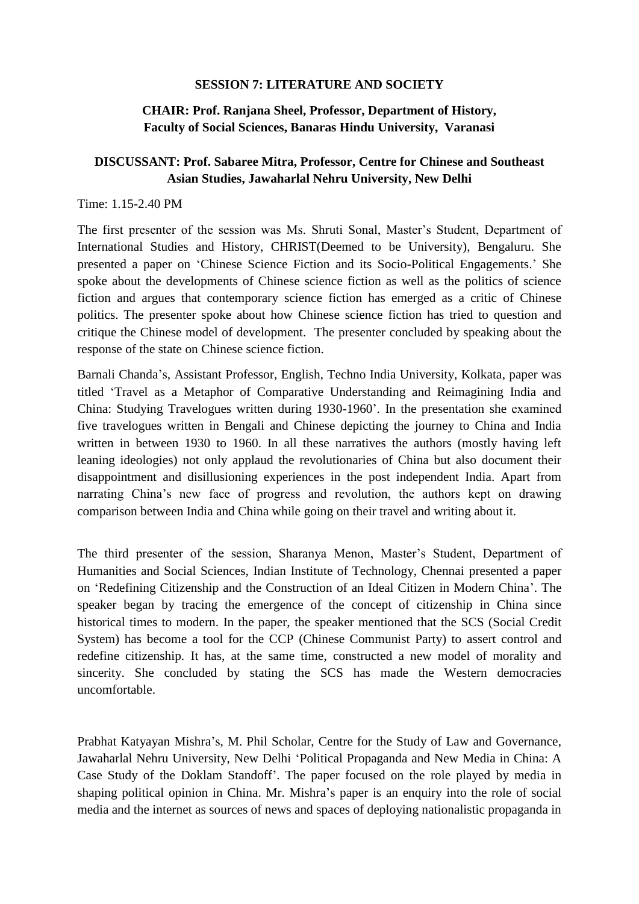#### **SESSION 7: LITERATURE AND SOCIETY**

# **CHAIR: Prof. Ranjana Sheel, Professor, Department of History, Faculty of Social Sciences, Banaras Hindu University, Varanasi**

# **DISCUSSANT: Prof. Sabaree Mitra, Professor, Centre for Chinese and Southeast Asian Studies, Jawaharlal Nehru University, New Delhi**

#### Time: 1.15-2.40 PM

The first presenter of the session was Ms. Shruti Sonal, Master's Student, Department of International Studies and History, CHRIST(Deemed to be University), Bengaluru. She presented a paper on 'Chinese Science Fiction and its Socio-Political Engagements.' She spoke about the developments of Chinese science fiction as well as the politics of science fiction and argues that contemporary science fiction has emerged as a critic of Chinese politics. The presenter spoke about how Chinese science fiction has tried to question and critique the Chinese model of development. The presenter concluded by speaking about the response of the state on Chinese science fiction.

Barnali Chanda's, Assistant Professor, English, Techno India University, Kolkata, paper was titled 'Travel as a Metaphor of Comparative Understanding and Reimagining India and China: Studying Travelogues written during 1930-1960'. In the presentation she examined five travelogues written in Bengali and Chinese depicting the journey to China and India written in between 1930 to 1960. In all these narratives the authors (mostly having left leaning ideologies) not only applaud the revolutionaries of China but also document their disappointment and disillusioning experiences in the post independent India. Apart from narrating China's new face of progress and revolution, the authors kept on drawing comparison between India and China while going on their travel and writing about it.

The third presenter of the session, Sharanya Menon, Master's Student, Department of Humanities and Social Sciences, Indian Institute of Technology, Chennai presented a paper on 'Redefining Citizenship and the Construction of an Ideal Citizen in Modern China'. The speaker began by tracing the emergence of the concept of citizenship in China since historical times to modern. In the paper, the speaker mentioned that the SCS (Social Credit System) has become a tool for the CCP (Chinese Communist Party) to assert control and redefine citizenship. It has, at the same time, constructed a new model of morality and sincerity. She concluded by stating the SCS has made the Western democracies uncomfortable.

Prabhat Katyayan Mishra's, M. Phil Scholar, Centre for the Study of Law and Governance, Jawaharlal Nehru University, New Delhi 'Political Propaganda and New Media in China: A Case Study of the Doklam Standoff'. The paper focused on the role played by media in shaping political opinion in China. Mr. Mishra's paper is an enquiry into the role of social media and the internet as sources of news and spaces of deploying nationalistic propaganda in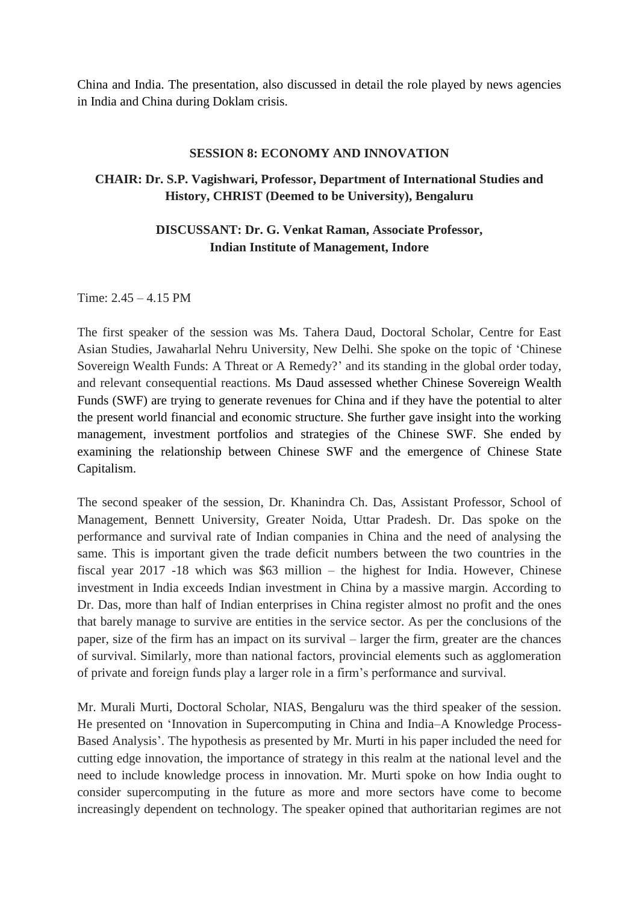China and India. The presentation, also discussed in detail the role played by news agencies in India and China during Doklam crisis.

#### **SESSION 8: ECONOMY AND INNOVATION**

# **CHAIR: Dr. S.P. Vagishwari, Professor, Department of International Studies and History, CHRIST (Deemed to be University), Bengaluru**

# **DISCUSSANT: Dr. G. Venkat Raman, Associate Professor, Indian Institute of Management, Indore**

Time: 2.45 – 4.15 PM

The first speaker of the session was Ms. Tahera Daud, Doctoral Scholar, Centre for East Asian Studies, Jawaharlal Nehru University, New Delhi. She spoke on the topic of 'Chinese Sovereign Wealth Funds: A Threat or A Remedy?' and its standing in the global order today, and relevant consequential reactions. Ms Daud assessed whether Chinese Sovereign Wealth Funds (SWF) are trying to generate revenues for China and if they have the potential to alter the present world financial and economic structure. She further gave insight into the working management, investment portfolios and strategies of the Chinese SWF. She ended by examining the relationship between Chinese SWF and the emergence of Chinese State Capitalism.

The second speaker of the session, Dr. Khanindra Ch. Das, Assistant Professor, School of Management, Bennett University, Greater Noida, Uttar Pradesh. Dr. Das spoke on the performance and survival rate of Indian companies in China and the need of analysing the same. This is important given the trade deficit numbers between the two countries in the fiscal year 2017 -18 which was \$63 million – the highest for India. However, Chinese investment in India exceeds Indian investment in China by a massive margin. According to Dr. Das, more than half of Indian enterprises in China register almost no profit and the ones that barely manage to survive are entities in the service sector. As per the conclusions of the paper, size of the firm has an impact on its survival – larger the firm, greater are the chances of survival. Similarly, more than national factors, provincial elements such as agglomeration of private and foreign funds play a larger role in a firm's performance and survival.

Mr. Murali Murti, Doctoral Scholar, NIAS, Bengaluru was the third speaker of the session. He presented on 'Innovation in Supercomputing in China and India–A Knowledge Process-Based Analysis'. The hypothesis as presented by Mr. Murti in his paper included the need for cutting edge innovation, the importance of strategy in this realm at the national level and the need to include knowledge process in innovation. Mr. Murti spoke on how India ought to consider supercomputing in the future as more and more sectors have come to become increasingly dependent on technology. The speaker opined that authoritarian regimes are not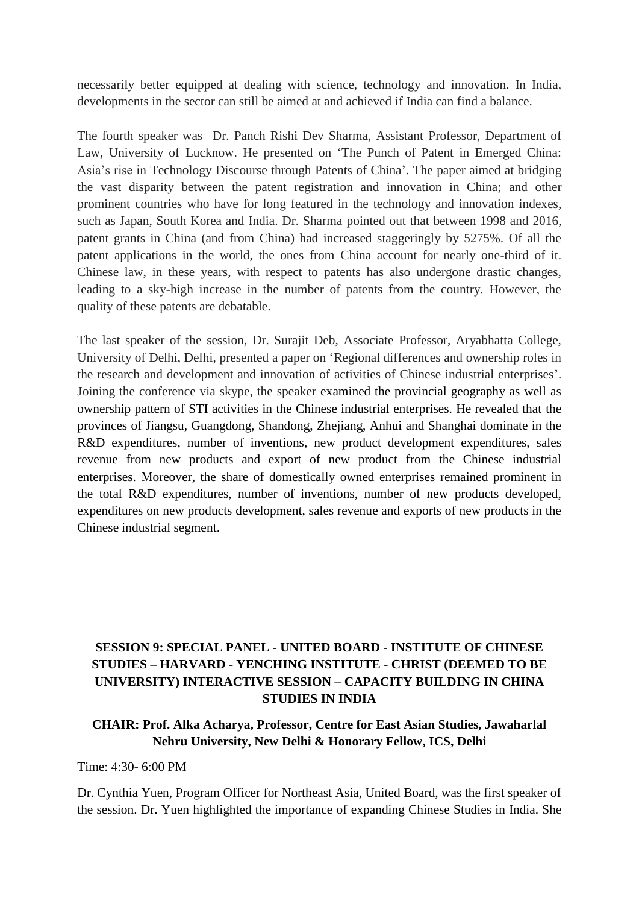necessarily better equipped at dealing with science, technology and innovation. In India, developments in the sector can still be aimed at and achieved if India can find a balance.

The fourth speaker was Dr. Panch Rishi Dev Sharma, Assistant Professor, Department of Law, University of Lucknow. He presented on 'The Punch of Patent in Emerged China: Asia's rise in Technology Discourse through Patents of China'. The paper aimed at bridging the vast disparity between the patent registration and innovation in China; and other prominent countries who have for long featured in the technology and innovation indexes, such as Japan, South Korea and India. Dr. Sharma pointed out that between 1998 and 2016, patent grants in China (and from China) had increased staggeringly by 5275%. Of all the patent applications in the world, the ones from China account for nearly one-third of it. Chinese law, in these years, with respect to patents has also undergone drastic changes, leading to a sky-high increase in the number of patents from the country. However, the quality of these patents are debatable.

The last speaker of the session, Dr. Surajit Deb, Associate Professor, Aryabhatta College, University of Delhi, Delhi, presented a paper on 'Regional differences and ownership roles in the research and development and innovation of activities of Chinese industrial enterprises'. Joining the conference via skype, the speaker examined the provincial geography as well as ownership pattern of STI activities in the Chinese industrial enterprises. He revealed that the provinces of Jiangsu, Guangdong, Shandong, Zhejiang, Anhui and Shanghai dominate in the R&D expenditures, number of inventions, new product development expenditures, sales revenue from new products and export of new product from the Chinese industrial enterprises. Moreover, the share of domestically owned enterprises remained prominent in the total R&D expenditures, number of inventions, number of new products developed, expenditures on new products development, sales revenue and exports of new products in the Chinese industrial segment.

# **SESSION 9: SPECIAL PANEL - UNITED BOARD - INSTITUTE OF CHINESE STUDIES – HARVARD - YENCHING INSTITUTE - CHRIST (DEEMED TO BE UNIVERSITY) INTERACTIVE SESSION – CAPACITY BUILDING IN CHINA STUDIES IN INDIA**

# **CHAIR: Prof. Alka Acharya, Professor, Centre for East Asian Studies, Jawaharlal Nehru University, New Delhi & Honorary Fellow, ICS, Delhi**

#### Time: 4:30- 6:00 PM

Dr. Cynthia Yuen, Program Officer for Northeast Asia, United Board, was the first speaker of the session. Dr. Yuen highlighted the importance of expanding Chinese Studies in India. She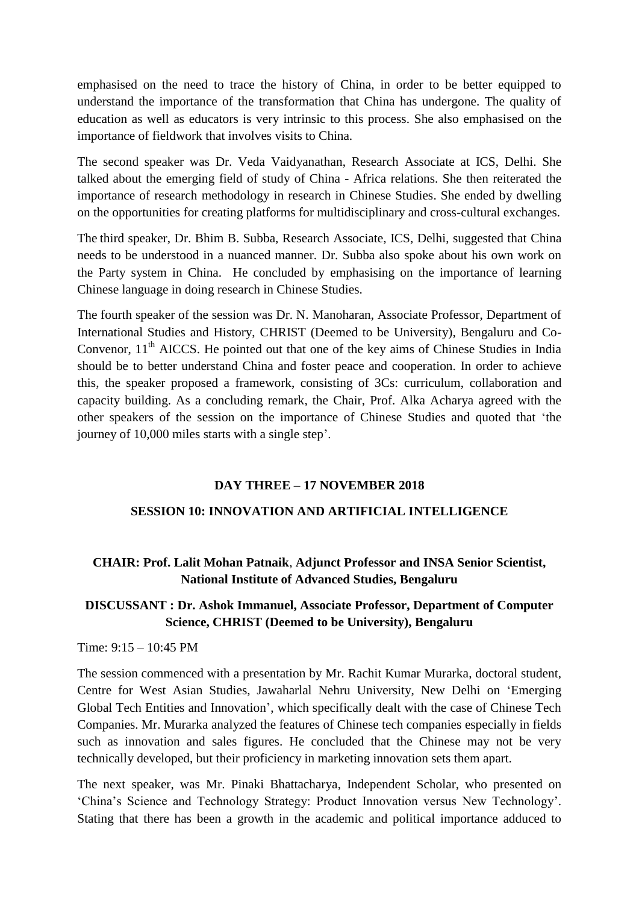emphasised on the need to trace the history of China, in order to be better equipped to understand the importance of the transformation that China has undergone. The quality of education as well as educators is very intrinsic to this process. She also emphasised on the importance of fieldwork that involves visits to China.

The second speaker was Dr. Veda Vaidyanathan, Research Associate at ICS, Delhi. She talked about the emerging field of study of China - Africa relations. She then reiterated the importance of research methodology in research in Chinese Studies. She ended by dwelling on the opportunities for creating platforms for multidisciplinary and cross-cultural exchanges.

The third speaker, Dr. Bhim B. Subba, Research Associate, ICS, Delhi, suggested that China needs to be understood in a nuanced manner. Dr. Subba also spoke about his own work on the Party system in China. He concluded by emphasising on the importance of learning Chinese language in doing research in Chinese Studies.

The fourth speaker of the session was Dr. N. Manoharan, Associate Professor, Department of International Studies and History, CHRIST (Deemed to be University), Bengaluru and Co-Convenor,  $11<sup>th</sup>$  AICCS. He pointed out that one of the key aims of Chinese Studies in India should be to better understand China and foster peace and cooperation. In order to achieve this, the speaker proposed a framework, consisting of 3Cs: curriculum, collaboration and capacity building. As a concluding remark, the Chair, Prof. Alka Acharya agreed with the other speakers of the session on the importance of Chinese Studies and quoted that 'the journey of 10,000 miles starts with a single step'.

### **DAY THREE – 17 NOVEMBER 2018**

#### **SESSION 10: INNOVATION AND ARTIFICIAL INTELLIGENCE**

# **CHAIR: Prof. Lalit Mohan Patnaik**, **Adjunct Professor and INSA Senior Scientist, National Institute of Advanced Studies, Bengaluru**

### **DISCUSSANT : Dr. Ashok Immanuel, Associate Professor, Department of Computer Science, CHRIST (Deemed to be University), Bengaluru**

#### Time: 9:15 – 10:45 PM

The session commenced with a presentation by Mr. Rachit Kumar Murarka, doctoral student, Centre for West Asian Studies, Jawaharlal Nehru University, New Delhi on 'Emerging Global Tech Entities and Innovation', which specifically dealt with the case of Chinese Tech Companies. Mr. Murarka analyzed the features of Chinese tech companies especially in fields such as innovation and sales figures. He concluded that the Chinese may not be very technically developed, but their proficiency in marketing innovation sets them apart.

The next speaker, was Mr. Pinaki Bhattacharya, Independent Scholar, who presented on 'China's Science and Technology Strategy: Product Innovation versus New Technology'. Stating that there has been a growth in the academic and political importance adduced to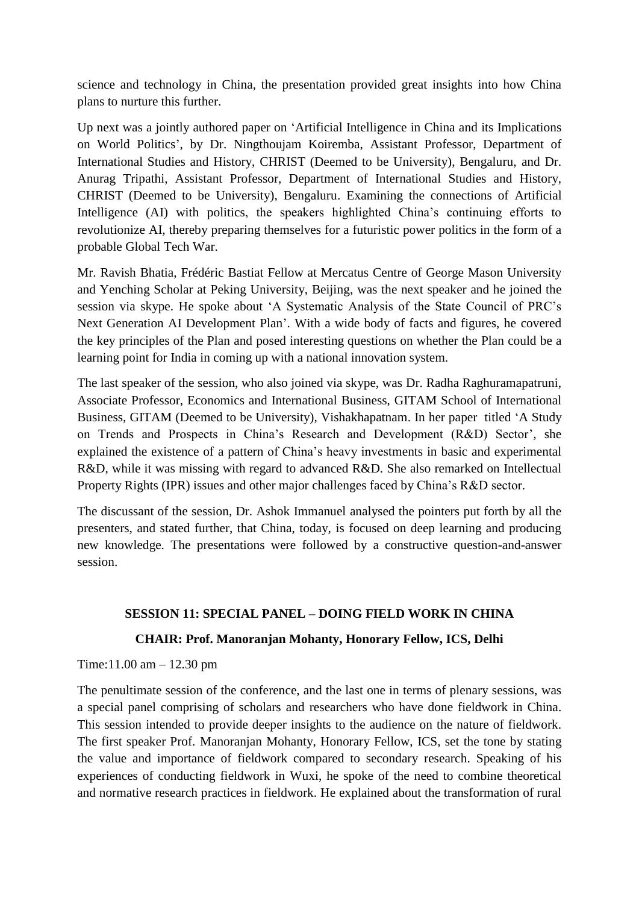science and technology in China, the presentation provided great insights into how China plans to nurture this further.

Up next was a jointly authored paper on 'Artificial Intelligence in China and its Implications on World Politics', by Dr. Ningthoujam Koiremba, Assistant Professor, Department of International Studies and History, CHRIST (Deemed to be University), Bengaluru, and Dr. Anurag Tripathi, Assistant Professor, Department of International Studies and History, CHRIST (Deemed to be University), Bengaluru. Examining the connections of Artificial Intelligence (AI) with politics, the speakers highlighted China's continuing efforts to revolutionize AI, thereby preparing themselves for a futuristic power politics in the form of a probable Global Tech War.

Mr. Ravish Bhatia, Frédéric Bastiat Fellow at Mercatus Centre of George Mason University and Yenching Scholar at Peking University, Beijing, was the next speaker and he joined the session via skype. He spoke about 'A Systematic Analysis of the State Council of PRC's Next Generation AI Development Plan'. With a wide body of facts and figures, he covered the key principles of the Plan and posed interesting questions on whether the Plan could be a learning point for India in coming up with a national innovation system.

The last speaker of the session, who also joined via skype, was Dr. Radha Raghuramapatruni, Associate Professor, Economics and International Business, GITAM School of International Business, GITAM (Deemed to be University), Vishakhapatnam. In her paper titled 'A Study on Trends and Prospects in China's Research and Development (R&D) Sector', she explained the existence of a pattern of China's heavy investments in basic and experimental R&D, while it was missing with regard to advanced R&D. She also remarked on Intellectual Property Rights (IPR) issues and other major challenges faced by China's R&D sector.

The discussant of the session, Dr. Ashok Immanuel analysed the pointers put forth by all the presenters, and stated further, that China, today, is focused on deep learning and producing new knowledge. The presentations were followed by a constructive question-and-answer session.

### **SESSION 11: SPECIAL PANEL – DOING FIELD WORK IN CHINA**

#### **CHAIR: Prof. Manoranjan Mohanty, Honorary Fellow, ICS, Delhi**

Time:11.00 am – 12.30 pm

The penultimate session of the conference, and the last one in terms of plenary sessions, was a special panel comprising of scholars and researchers who have done fieldwork in China. This session intended to provide deeper insights to the audience on the nature of fieldwork. The first speaker Prof. Manoranjan Mohanty, Honorary Fellow, ICS, set the tone by stating the value and importance of fieldwork compared to secondary research. Speaking of his experiences of conducting fieldwork in Wuxi, he spoke of the need to combine theoretical and normative research practices in fieldwork. He explained about the transformation of rural